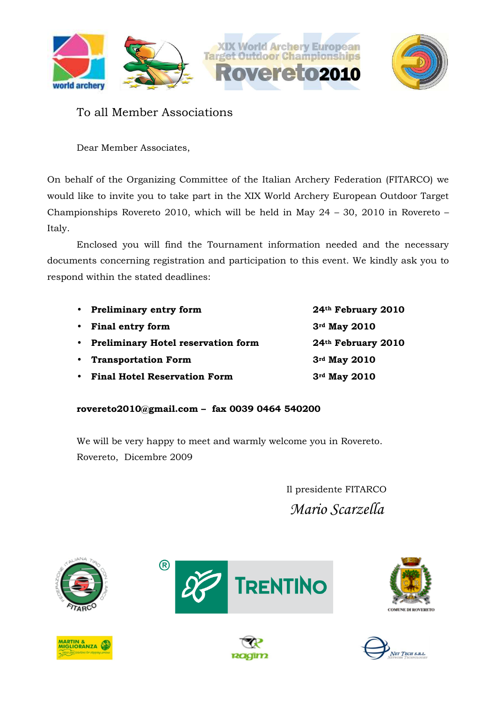

### To all Member Associations

Dear Member Associates,

On behalf of the Organizing Committee of the Italian Archery Federation (FITARCO) we would like to invite you to take part in the XIX World Archery European Outdoor Target Championships Rovereto 2010, which will be held in May 24 – 30, 2010 in Rovereto – Italy.

Enclosed you will find the Tournament information needed and the necessary documents concerning registration and participation to this event. We kindly ask you to respond within the stated deadlines:

|           | • Preliminary entry form             | 24th February 2010 |
|-----------|--------------------------------------|--------------------|
|           | • Final entry form                   | 3rd May 2010       |
|           | • Preliminary Hotel reservation form | 24th February 2010 |
|           | • Transportation Form                | 3rd May 2010       |
| $\bullet$ | <b>Final Hotel Reservation Form</b>  | 3rd May 2010       |

**rovereto2010@gmail.com – fax 0039 0464 540200** 

We will be very happy to meet and warmly welcome you in Rovereto. Rovereto, Dicembre 2009

> Il presidente FITARCO *Mario Scarzella*









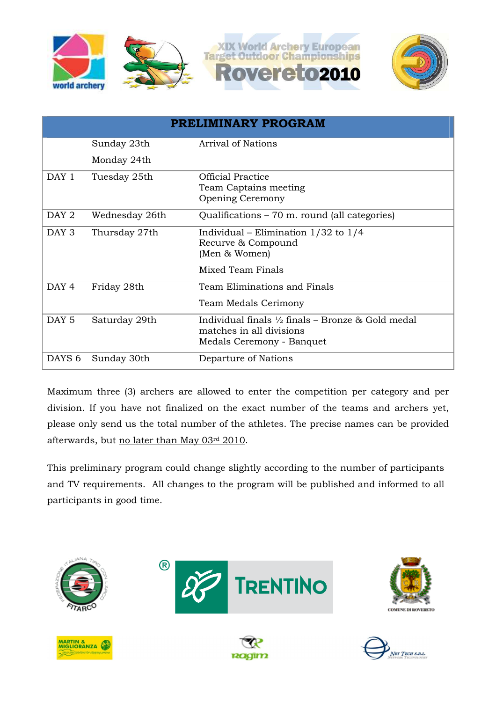

|                   | PRELIMINARY PROGRAM |                                                                                                                       |  |  |  |  |
|-------------------|---------------------|-----------------------------------------------------------------------------------------------------------------------|--|--|--|--|
|                   | Sunday 23th         | <b>Arrival of Nations</b>                                                                                             |  |  |  |  |
|                   | Monday 24th         |                                                                                                                       |  |  |  |  |
| DAY 1             | Tuesday 25th        | <b>Official Practice</b><br>Team Captains meeting<br><b>Opening Ceremony</b>                                          |  |  |  |  |
| DAY <sub>2</sub>  | Wednesday 26th      | Qualifications – 70 m. round (all categories)                                                                         |  |  |  |  |
| DAY 3             | Thursday 27th       | Individual – Elimination $1/32$ to $1/4$<br>Recurve & Compound<br>(Men & Women)                                       |  |  |  |  |
|                   |                     | Mixed Team Finals                                                                                                     |  |  |  |  |
| DAY 4             | Friday 28th         | Team Eliminations and Finals<br>Team Medals Cerimony                                                                  |  |  |  |  |
| DAY <sub>5</sub>  | Saturday 29th       | Individual finals $\frac{1}{2}$ finals – Bronze & Gold medal<br>matches in all divisions<br>Medals Ceremony - Banquet |  |  |  |  |
| DAYS <sub>6</sub> | Sunday 30th         | Departure of Nations                                                                                                  |  |  |  |  |

Maximum three (3) archers are allowed to enter the competition per category and per division. If you have not finalized on the exact number of the teams and archers yet, please only send us the total number of the athletes. The precise names can be provided afterwards, but no later than May 03rd 2010.

This preliminary program could change slightly according to the number of participants and TV requirements. All changes to the program will be published and informed to all participants in good time.











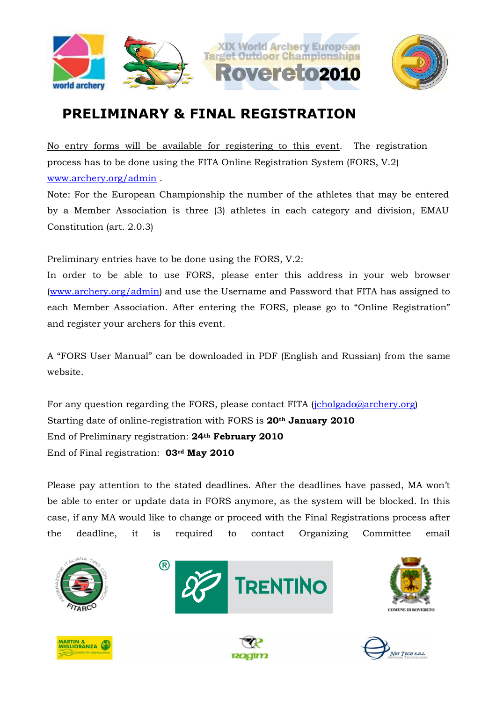



# **PRELIMINARY & FINAL REGISTRATION**

No entry forms will be available for registering to this event. The registration process has to be done using the FITA Online Registration System (FORS, V.2) www.archery.org/admin .

Note: For the European Championship the number of the athletes that may be entered by a Member Association is three (3) athletes in each category and division, EMAU Constitution (art. 2.0.3)

Preliminary entries have to be done using the FORS, V.2:

In order to be able to use FORS, please enter this address in your web browser (www.archery.org/admin) and use the Username and Password that FITA has assigned to each Member Association. After entering the FORS, please go to "Online Registration" and register your archers for this event.

A "FORS User Manual" can be downloaded in PDF (English and Russian) from the same website.

For any question regarding the FORS, please contact FITA (jcholgado@archery.org) Starting date of online-registration with FORS is **20th January 2010** End of Preliminary registration: **24th February 2010**  End of Final registration: **03rd May 2010** 

Please pay attention to the stated deadlines. After the deadlines have passed, MA won't be able to enter or update data in FORS anymore, as the system will be blocked. In this case, if any MA would like to change or proceed with the Final Registrations process after the deadline, it is required to contact Organizing Committee email









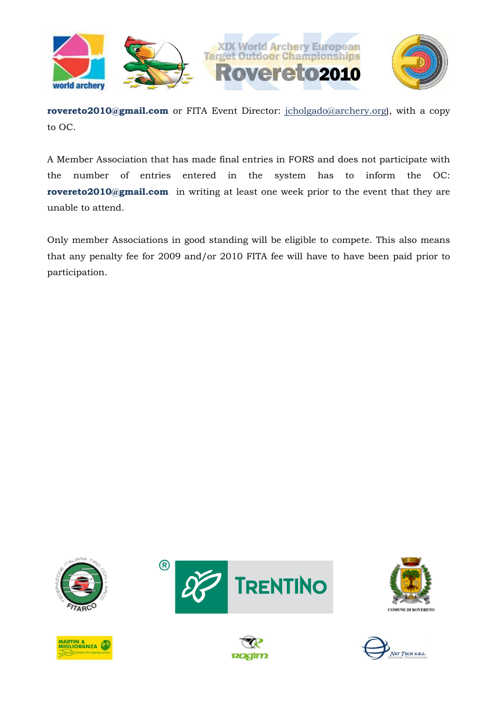

**rovereto2010@gmail.com** or FITA Event Director: jcholgado@archery.org), with a copy to OC.

A Member Association that has made final entries in FORS and does not participate with the number of entries entered in the system has to inform the OC: **rovereto2010@gmail.com** in writing at least one week prior to the event that they are unable to attend.

Only member Associations in good standing will be eligible to compete. This also means that any penalty fee for 2009 and/or 2010 FITA fee will have to have been paid prior to participation.











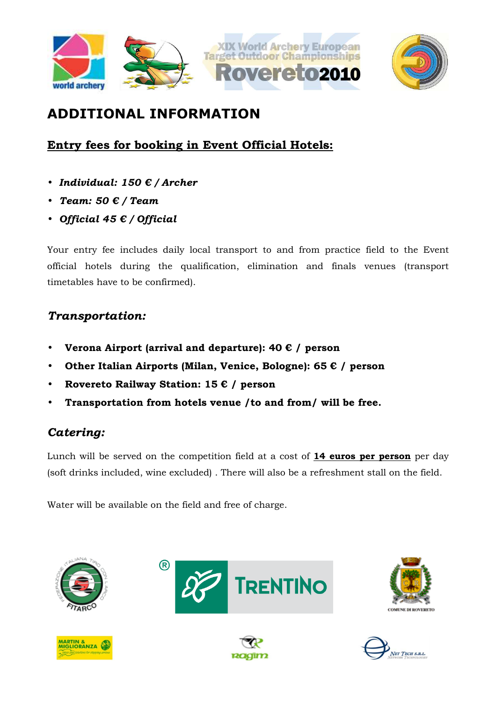



# **ADDITIONAL INFORMATION**

## **Entry fees for booking in Event Official Hotels:**

- *Individual: 150 € / Archer*
- *Team: 50 € / Team*
- *Official 45 € / Official*

Your entry fee includes daily local transport to and from practice field to the Event official hotels during the qualification, elimination and finals venues (transport timetables have to be confirmed).

## *Transportation:*

- **Verona Airport (arrival and departure): 40 € / person**
- **Other Italian Airports (Milan, Venice, Bologne): 65 € / person**
- **Rovereto Railway Station: 15 € / person**
- **Transportation from hotels venue /to and from/ will be free.**

## *Catering:*

Lunch will be served on the competition field at a cost of **14 euros per person** per day (soft drinks included, wine excluded) . There will also be a refreshment stall on the field.

Water will be available on the field and free of charge.











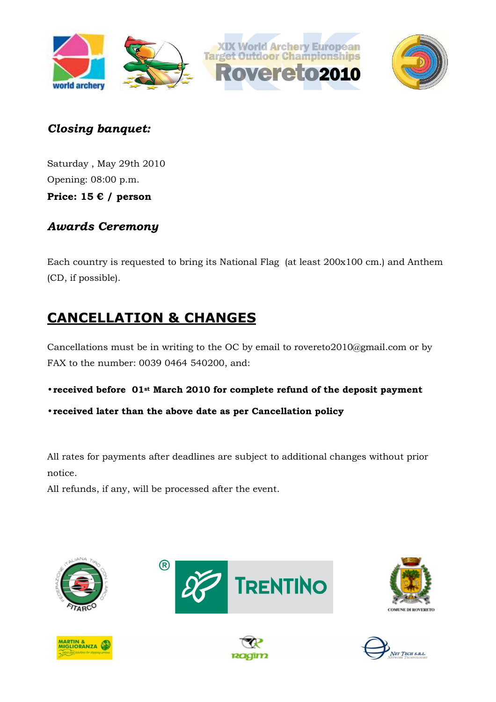



Saturday , May 29th 2010 Opening: 08:00 p.m. **Price: 15 € / person** 

## *Awards Ceremony*

Each country is requested to bring its National Flag (at least 200x100 cm.) and Anthem (CD, if possible).

# **CANCELLATION & CHANGES**

Cancellations must be in writing to the OC by email to rovereto2010@gmail.com or by FAX to the number: 0039 0464 540200, and:

- **received before 01st March 2010 for complete refund of the deposit payment**
- **received later than the above date as per Cancellation policy**

All rates for payments after deadlines are subject to additional changes without prior notice.

All refunds, if any, will be processed after the event.









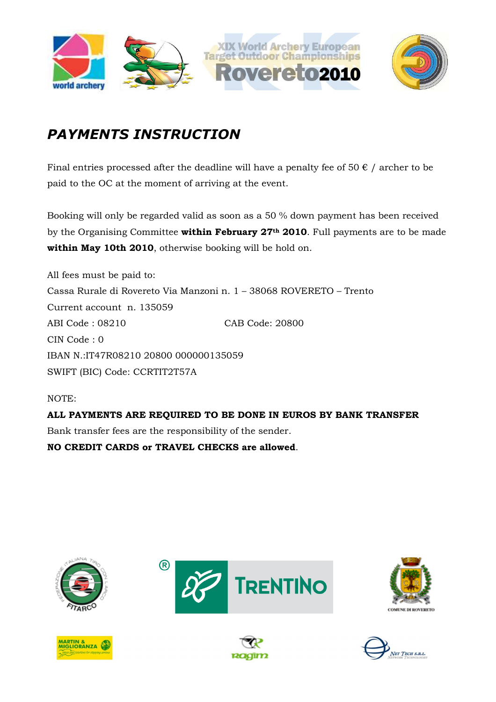

# *PAYMENTS INSTRUCTION*

Final entries processed after the deadline will have a penalty fee of 50  $\epsilon$  / archer to be paid to the OC at the moment of arriving at the event.

Booking will only be regarded valid as soon as a 50 % down payment has been received by the Organising Committee **within February 27th 2010**. Full payments are to be made **within May 10th 2010**, otherwise booking will be hold on.

All fees must be paid to: Cassa Rurale di Rovereto Via Manzoni n. 1 – 38068 ROVERETO – Trento Current account n. 135059 ABI Code : 08210 CAB Code: 20800 CIN Code : 0 IBAN N.:IT47R08210 20800 000000135059 SWIFT (BIC) Code: CCRTIT2T57A

NOTE:

**ALL PAYMENTS ARE REQUIRED TO BE DONE IN EUROS BY BANK TRANSFER**  Bank transfer fees are the responsibility of the sender. **NO CREDIT CARDS or TRAVEL CHECKS are allowed**.











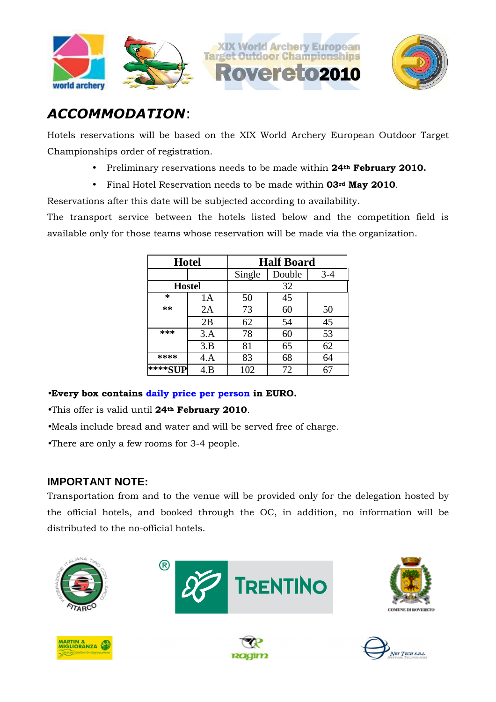





## *ACCOMMODATION*:

Hotels reservations will be based on the XIX World Archery European Outdoor Target Championships order of registration.

- Preliminary reservations needs to be made within **24th February 2010.**
- Final Hotel Reservation needs to be made within **03rd May 2010**.

Reservations after this date will be subjected according to availability.

The transport service between the hotels listed below and the competition field is available only for those teams whose reservation will be made via the organization.

| <b>Hotel</b> |               | <b>Half Board</b> |        |       |
|--------------|---------------|-------------------|--------|-------|
|              |               |                   | Double | $3-4$ |
|              | <b>Hostel</b> | 32                |        |       |
| ∗            | 1А            | 50                | 45     |       |
| $**$         | 2A            | 73                | 60     | 50    |
|              | 2B            | 62                | 54     | 45    |
| ***          | 3.A           | 78                | 60     | 53    |
|              | 3.B           | 81                | 65     | 62    |
| ****         | 4.A           | 83                | 68     | 64    |
| ****SI       | 4.B           | 102               | 72     |       |

•**Every box contains daily price per person in EURO.** 

- •This offer is valid until **24th February 2010**.
- •Meals include bread and water and will be served free of charge.
- •There are only a few rooms for 3-4 people.

### **IMPORTANT NOTE:**

Transportation from and to the venue will be provided only for the delegation hosted by the official hotels, and booked through the OC, in addition, no information will be distributed to the no-official hotels.











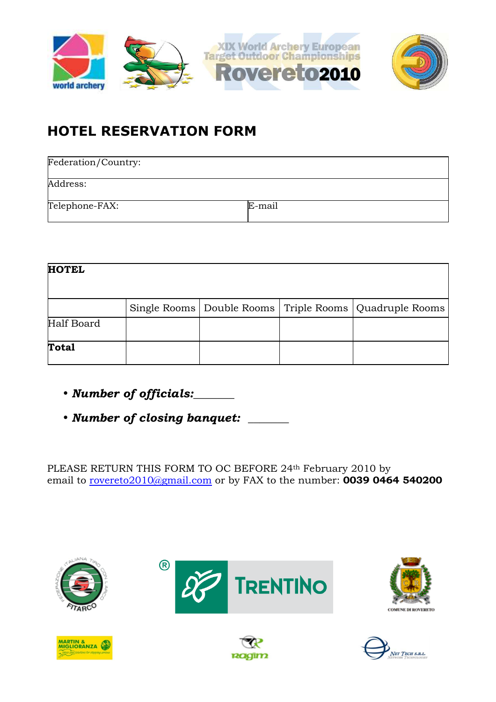

# **HOTEL RESERVATION FORM**

| Federation/Country: |        |
|---------------------|--------|
| Address:            |        |
| Telephone-FAX:      | E-mail |

| <b>HOTEL</b> |  |                                                              |
|--------------|--|--------------------------------------------------------------|
|              |  | Single Rooms   Double Rooms   Triple Rooms   Quadruple Rooms |
| Half Board   |  |                                                              |
| <b>Total</b> |  |                                                              |

- • *Number of officials:\_\_\_\_\_\_\_*
- • *Number of closing banquet: \_\_\_\_\_\_\_*

PLEASE RETURN THIS FORM TO OC BEFORE 24th February 2010 by email to rovereto2010@gmail.com or by FAX to the number: **0039 0464 540200** 







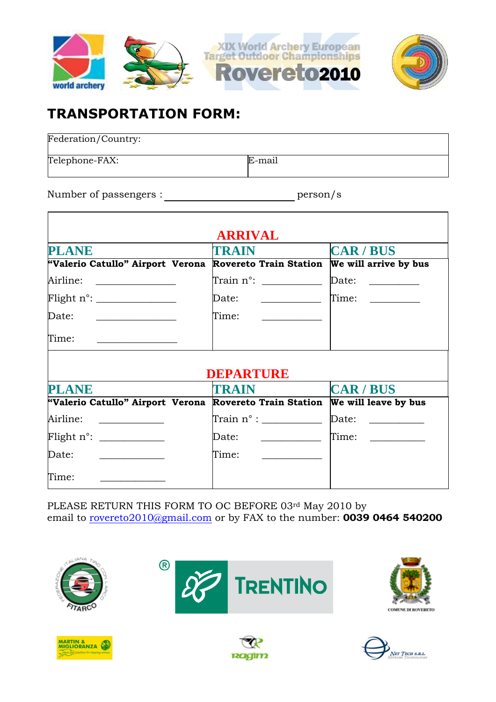

## **TRANSPORTATION FORM:**

| Federation/Country: |        |
|---------------------|--------|
| Telephone-FAX:      | E-mail |

Number of passengers : person/s

|                                                                       | <b>ARRIVAL</b>                                         |                                        |
|-----------------------------------------------------------------------|--------------------------------------------------------|----------------------------------------|
| <b>PLANE</b>                                                          | <b>TRAIN</b>                                           | <b>CAR/BUS</b>                         |
| "Valerio Catullo" Airport Verona                                      | <b>Rovereto Train Station</b>                          | We will arrive by bus                  |
| Airline:                                                              |                                                        | Date: _________                        |
|                                                                       | Date:<br><u> 1986 - Johann Stein, fransk politik (</u> | Time:                                  |
| Date:<br><u> 1989 - Johann Barn, mars and de Brasilian (b. 1989)</u>  | Time:<br>and the company of the company of             |                                        |
| Time:                                                                 |                                                        |                                        |
|                                                                       |                                                        |                                        |
|                                                                       | DEPARTURE<br>TRAIN                                     |                                        |
|                                                                       | <b>Rovereto Train Station</b>                          | <b>CAR/BUS</b><br>We will leave by bus |
| <u> 1989 - Johann Barbara, martin basa</u>                            |                                                        | Date: ___________                      |
|                                                                       | Date: _____________                                    | Time:                                  |
| <b>PLANE</b><br>"Valerio Catullo" Airport Verona<br>Airline:<br>Date: | Time:<br><u> 1990 - Andrea State</u>                   |                                        |

PLEASE RETURN THIS FORM TO OC BEFORE 03rd May 2010 by email to rovereto2010@gmail.com or by FAX to the number: **0039 0464 540200** 



**R** 





 $\overline{\mathbf{1}}$ 





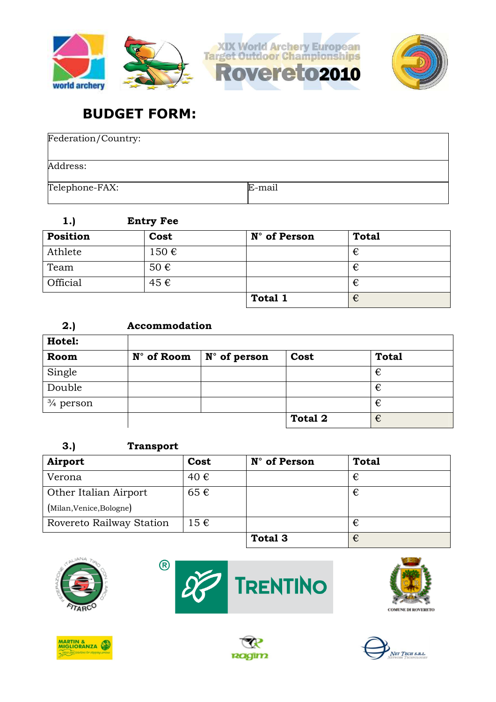

## **BUDGET FORM:**

| Federation/Country: |        |
|---------------------|--------|
| Address:            |        |
| Telephone-FAX:      | E-mail |

| 1.)      | <b>Entry Fee</b> |              |              |  |
|----------|------------------|--------------|--------------|--|
| Position | Cost             | N° of Person | <b>Total</b> |  |
| Athlete  | 150€             |              | €            |  |
| Team     | 50€              |              | €            |  |
| Official | 45 €             |              | €            |  |
|          |                  | Total 1      | €            |  |

| 2.)                  |            |                       |                |              |
|----------------------|------------|-----------------------|----------------|--------------|
| Hotel:               |            |                       |                |              |
| Room                 | N° of Room | $N^{\circ}$ of person | Cost           | <b>Total</b> |
| Single               |            |                       |                | €            |
| Double               |            |                       |                | €            |
| $\frac{3}{4}$ person |            |                       |                | €            |
|                      |            |                       | <b>Total 2</b> | €            |

### **3.) Transport**

| Airport                  | Cost     | N° of Person | <b>Total</b> |
|--------------------------|----------|--------------|--------------|
| Verona                   | 40 €     |              | €            |
| Other Italian Airport    | 65€      |              | €            |
| (Milan, Venice, Bologne) |          |              |              |
| Rovereto Railway Station | $15 \in$ |              | €            |
|                          |          | Total 3      | €            |











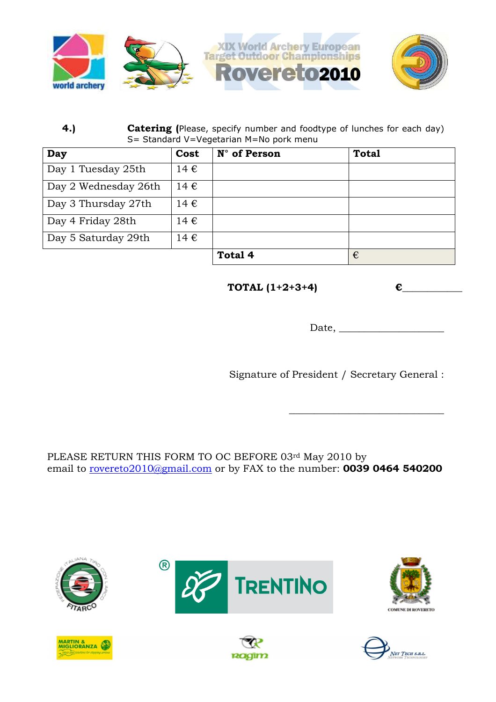

### **4.) Catering (**Please, specify number and foodtype of lunches for each day) S= Standard V=Vegetarian M=No pork menu

| Day                  | Cost             | N° of Person | <b>Total</b> |
|----------------------|------------------|--------------|--------------|
| Day 1 Tuesday 25th   | 14 $\varepsilon$ |              |              |
| Day 2 Wednesday 26th | $14 \in$         |              |              |
| Day 3 Thursday 27th  | $14 \in$         |              |              |
| Day 4 Friday 28th    | 14 €             |              |              |
| Day 5 Saturday 29th  | $14 \in$         |              |              |
|                      |                  | Total 4      | €            |

**TOTAL**  $(1+2+3+4)$  **€** 

Date, \_\_\_\_\_\_\_\_\_\_\_\_\_\_\_\_\_\_\_\_\_

\_\_\_\_\_\_\_\_\_\_\_\_\_\_\_\_\_\_\_\_\_\_\_\_\_\_\_\_\_\_\_

Signature of President / Secretary General :

PLEASE RETURN THIS FORM TO OC BEFORE 03rd May 2010 by email to rovereto2010@gmail.com or by FAX to the number: **0039 0464 540200** 







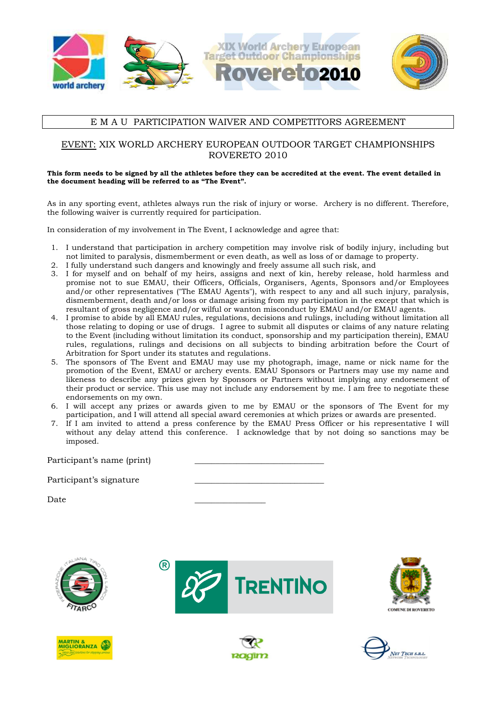

### E M A U PARTICIPATION WAIVER AND COMPETITORS AGREEMENT

### EVENT: XIX WORLD ARCHERY EUROPEAN OUTDOOR TARGET CHAMPIONSHIPS ROVERETO 2010

#### **This form needs to be signed by all the athletes before they can be accredited at the event. The event detailed in the document heading will be referred to as "The Event".**

As in any sporting event, athletes always run the risk of injury or worse. Archery is no different. Therefore, the following waiver is currently required for participation.

In consideration of my involvement in The Event, I acknowledge and agree that:

- 1. I understand that participation in archery competition may involve risk of bodily injury, including but not limited to paralysis, dismemberment or even death, as well as loss of or damage to property.
- 2. I fully understand such dangers and knowingly and freely assume all such risk, and
- 3. I for myself and on behalf of my heirs, assigns and next of kin, hereby release, hold harmless and promise not to sue EMAU, their Officers, Officials, Organisers, Agents, Sponsors and/or Employees and/or other representatives ("The EMAU Agents"), with respect to any and all such injury, paralysis, dismemberment, death and/or loss or damage arising from my participation in the except that which is resultant of gross negligence and/or wilful or wanton misconduct by EMAU and/or EMAU agents.
- 4. I promise to abide by all EMAU rules, regulations, decisions and rulings, including without limitation all those relating to doping or use of drugs. I agree to submit all disputes or claims of any nature relating to the Event (including without limitation its conduct, sponsorship and my participation therein), EMAU rules, regulations, rulings and decisions on all subjects to binding arbitration before the Court of Arbitration for Sport under its statutes and regulations.
- 5. The sponsors of The Event and EMAU may use my photograph, image, name or nick name for the promotion of the Event, EMAU or archery events. EMAU Sponsors or Partners may use my name and likeness to describe any prizes given by Sponsors or Partners without implying any endorsement of their product or service. This use may not include any endorsement by me. I am free to negotiate these endorsements on my own.
- 6. I will accept any prizes or awards given to me by EMAU or the sponsors of The Event for my participation, and I will attend all special award ceremonies at which prizes or awards are presented.
- 7. If I am invited to attend a press conference by the EMAU Press Officer or his representative I will without any delay attend this conference. I acknowledge that by not doing so sanctions may be imposed.

Participant's name (print)

Participant's signature

Date \_\_\_\_\_\_\_\_\_\_\_\_\_\_\_\_\_











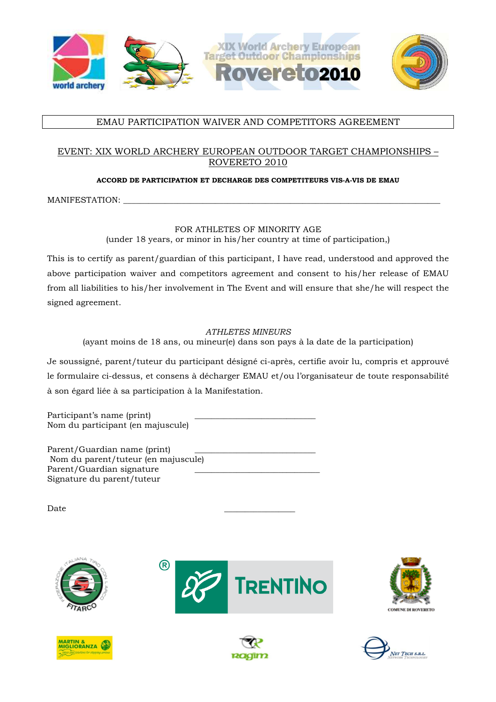

### EMAU PARTICIPATION WAIVER AND COMPETITORS AGREEMENT

### EVENT: XIX WORLD ARCHERY EUROPEAN OUTDOOR TARGET CHAMPIONSHIPS – ROVERETO 2010

#### **ACCORD DE PARTICIPATION ET DECHARGE DES COMPETITEURS VIS-A-VIS DE EMAU**

MANIFESTATION:

### FOR ATHLETES OF MINORITY AGE

(under 18 years, or minor in his/her country at time of participation,)

This is to certify as parent/guardian of this participant, I have read, understood and approved the above participation waiver and competitors agreement and consent to his/her release of EMAU from all liabilities to his/her involvement in The Event and will ensure that she/he will respect the signed agreement.

### *ATHLETES MINEURS*

(ayant moins de 18 ans, ou mineur(e) dans son pays à la date de la participation)

Je soussigné, parent/tuteur du participant désigné ci-après, certifie avoir lu, compris et approuvé le formulaire ci-dessus, et consens à décharger EMAU et/ou l'organisateur de toute responsabilité à son égard liée à sa participation à la Manifestation.

Participant's name (print) Nom du participant (en majuscule)

Parent/Guardian name (print) Nom du parent/tuteur (en majuscule) Parent/Guardian signature Signature du parent/tuteur

Date \_\_\_\_\_\_\_\_\_\_\_\_\_\_\_\_\_











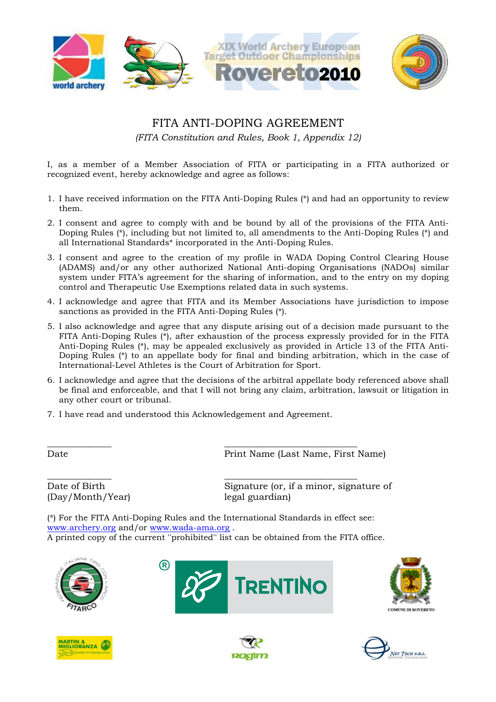

### FITA ANTI-DOPING AGREEMENT

*(FITA Constitution and Rules, Book 1, Appendix 12)*

I, as a member of a Member Association of FITA or participating in a FITA authorized or recognized event, hereby acknowledge and agree as follows:

- 1. I have received information on the FITA Anti-Doping Rules (\*) and had an opportunity to review them.
- 2. I consent and agree to comply with and be bound by all of the provisions of the FITA Anti-Doping Rules (\*), including but not limited to, all amendments to the Anti-Doping Rules (\*) and all International Standards\* incorporated in the Anti-Doping Rules.
- 3. I consent and agree to the creation of my profile in WADA Doping Control Clearing House (ADAMS) and/or any other authorized National Anti-doping Organisations (NADOs) similar system under FITA's agreement for the sharing of information, and to the entry on my doping control and Therapeutic Use Exemptions related data in such systems.
- 4. I acknowledge and agree that FITA and its Member Associations have jurisdiction to impose sanctions as provided in the FITA Anti-Doping Rules (\*).
- 5. I also acknowledge and agree that any dispute arising out of a decision made pursuant to the FITA Anti-Doping Rules (\*), after exhaustion of the process expressly provided for in the FITA Anti-Doping Rules (\*), may be appealed exclusively as provided in Article 13 of the FITA Anti-Doping Rules (\*) to an appellate body for final and binding arbitration, which in the case of International-Level Athletes is the Court of Arbitration for Sport.
- 6. I acknowledge and agree that the decisions of the arbitral appellate body referenced above shall be final and enforceable, and that I will not bring any claim, arbitration, lawsuit or litigation in any other court or tribunal.
- 7. I have read and understood this Acknowledgement and Agreement.

R)

\_\_\_\_\_\_\_\_\_\_\_\_\_\_ \_\_\_\_\_\_\_\_\_\_\_\_\_\_\_\_\_\_\_\_\_\_\_\_\_\_\_\_\_

\_\_\_\_\_\_\_\_\_\_\_\_\_\_ \_\_\_\_\_\_\_\_\_\_\_\_\_\_\_\_\_\_\_\_\_\_\_\_\_\_\_\_\_ (Day/Month/Year) legal guardian)

Date Print Name (Last Name, First Name)

Date of Birth Signature (or, if a minor, signature of

(\*) For the FITA Anti-Doping Rules and the International Standards in effect see: www.archery.org and/or www.wada-ama.org . A printed copy of the current ''prohibited'' list can be obtained from the FITA office.











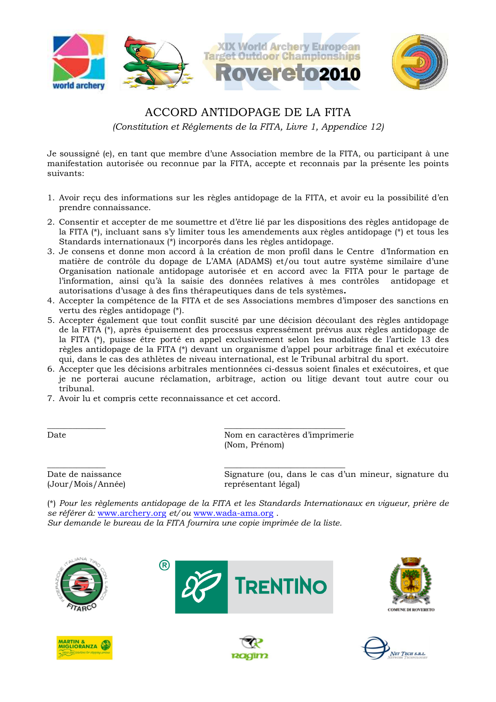

### ACCORD ANTIDOPAGE DE LA FITA

*(Constitution et Réglements de la FITA, Livre 1, Appendice 12)* 

Je soussigné (e), en tant que membre d'une Association membre de la FITA, ou participant à une manifestation autorisée ou reconnue par la FITA, accepte et reconnais par la présente les points suivants:

- 1. Avoir reçu des informations sur les règles antidopage de la FITA, et avoir eu la possibilité d'en prendre connaissance.
- 2. Consentir et accepter de me soumettre et d'être lié par les dispositions des règles antidopage de la FITA (\*), incluant sans s'y limiter tous les amendements aux règles antidopage (\*) et tous les Standards internationaux (\*) incorporés dans les règles antidopage.
- 3. Je consens et donne mon accord à la création de mon profil dans le Centre d'Information en matière de contrôle du dopage de L'AMA (ADAMS) et/ou tout autre système similaire d'une Organisation nationale antidopage autorisée et en accord avec la FITA pour le partage de l'information, ainsi qu'à la saisie des données relatives à mes contrôles antidopage et autorisations d'usage à des fins thérapeutiques dans de tels systèmes**.**
- 4. Accepter la compétence de la FITA et de ses Associations membres d'imposer des sanctions en vertu des règles antidopage (\*).
- 5. Accepter également que tout conflit suscité par une décision découlant des règles antidopage de la FITA (\*), après épuisement des processus expressément prévus aux règles antidopage de la FITA (\*), puisse être porté en appel exclusivement selon les modalités de l'article 13 des règles antidopage de la FITA (\*) devant un organisme d'appel pour arbitrage final et exécutoire qui, dans le cas des athlètes de niveau international, est le Tribunal arbitral du sport.
- 6. Accepter que les décisions arbitrales mentionnées ci-dessus soient finales et exécutoires, et que je ne porterai aucune réclamation, arbitrage, action ou litige devant tout autre cour ou tribunal.
- 7. Avoir lu et compris cette reconnaissance et cet accord.

\_\_\_\_\_\_\_\_\_\_\_\_\_\_ \_\_\_\_\_\_\_\_\_\_\_\_\_\_\_\_\_\_\_\_\_\_\_\_\_\_\_\_\_ Date Nom en caractères d'imprimerie (Nom, Prénom)

(Jour/Mois/Année) représentant légal)

 $\overline{\phantom{a}}$  , and the contract of the contract of the contract of the contract of the contract of the contract of the contract of the contract of the contract of the contract of the contract of the contract of the contrac Date de naissance Signature (ou, dans le cas d'un mineur, signature du

(\*) *Pour les règlements antidopage de la FITA et les Standards Internationaux en vigueur, prière de se référer à:* www.archery.org *et/ou* www.wada-ama.org .

*Sur demande le bureau de la FITA fournira une copie imprimée de la liste.* 











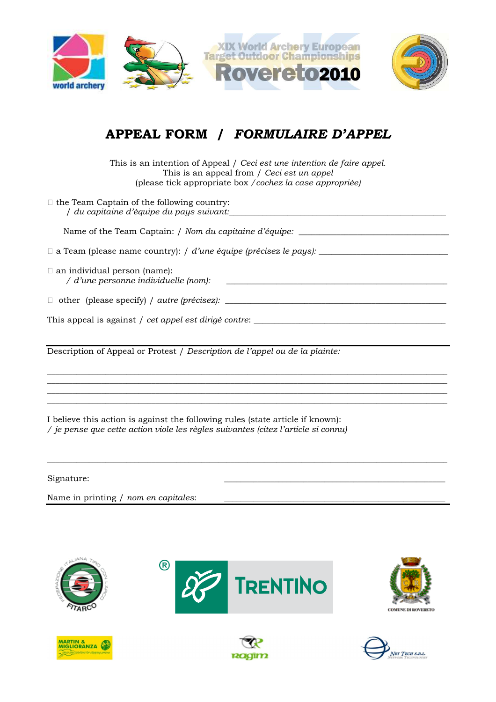

## **APPEAL FORM /** *FORMULAIRE D'APPEL*

This is an intention of Appeal / *Ceci est une intention de faire appel*. This is an appeal from / *Ceci est un appel* (please tick appropriate box */cochez la case appropriée)* 

| Z the Team Captain of the following country:<br>/ du capitaine d'équipe du pays suivant: |
|------------------------------------------------------------------------------------------|
| Name of the Team Captain: / Nom du capitaine d'équipe: _________________________         |
| Z a Team (please name country): / d'une équipe (précisez le pays): ______________        |
| Z an individual person (name):<br>/ d'une personne individuelle (nom):                   |
| Z other (please specify) / <i>autre (précisez):</i>                                      |
| This appeal is against / cet appel est dirigé contre:                                    |
| Description of Appeal or Protest / Description de l'appel ou de la plainte:              |

 $\overline{\phantom{a}}$  , and the set of the set of the set of the set of the set of the set of the set of the set of the set of the set of the set of the set of the set of the set of the set of the set of the set of the set of the s  $\overline{\phantom{a}}$  , and the set of the set of the set of the set of the set of the set of the set of the set of the set of the set of the set of the set of the set of the set of the set of the set of the set of the set of the s  $\overline{\phantom{a}}$  , and the set of the set of the set of the set of the set of the set of the set of the set of the set of the set of the set of the set of the set of the set of the set of the set of the set of the set of the s

 $\overline{\phantom{a}}$  , and the set of the set of the set of the set of the set of the set of the set of the set of the set of the set of the set of the set of the set of the set of the set of the set of the set of the set of the s

I believe this action is against the following rules (state article if known): */ je pense que cette action viole les règles suivantes (citez l'article si connu)* 

Signature:

Name in printing / *nom en capitales*: